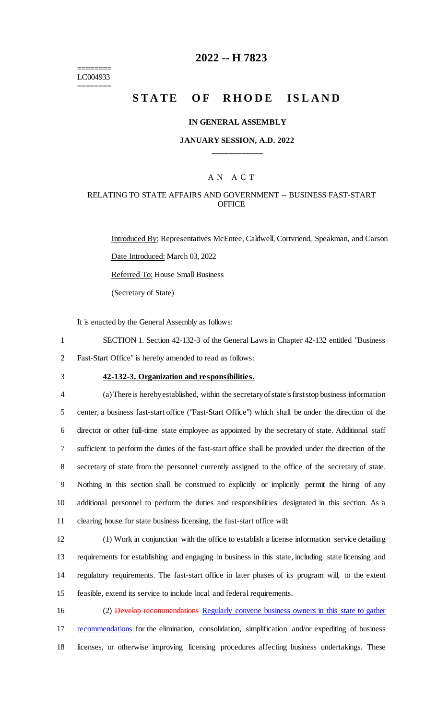======== LC004933 ========

# **2022 -- H 7823**

# **STATE OF RHODE ISLAND**

#### **IN GENERAL ASSEMBLY**

#### **JANUARY SESSION, A.D. 2022 \_\_\_\_\_\_\_\_\_\_\_\_**

# A N A C T

## RELATING TO STATE AFFAIRS AND GOVERNMENT -- BUSINESS FAST-START **OFFICE**

Introduced By: Representatives McEntee, Caldwell, Cortvriend, Speakman, and Carson Date Introduced: March 03, 2022 Referred To: House Small Business (Secretary of State)

It is enacted by the General Assembly as follows:

1 SECTION 1. Section 42-132-3 of the General Laws in Chapter 42-132 entitled "Business 2 Fast-Start Office" is hereby amended to read as follows:

# 3 **42-132-3. Organization and responsibilities.**

 (a) There is hereby established, within the secretary of state's first stop business information center, a business fast-start office ("Fast-Start Office") which shall be under the direction of the director or other full-time state employee as appointed by the secretary of state. Additional staff sufficient to perform the duties of the fast-start office shall be provided under the direction of the secretary of state from the personnel currently assigned to the office of the secretary of state. Nothing in this section shall be construed to explicitly or implicitly permit the hiring of any additional personnel to perform the duties and responsibilities designated in this section. As a clearing house for state business licensing, the fast-start office will:

 (1) Work in conjunction with the office to establish a license information service detailing requirements for establishing and engaging in business in this state, including state licensing and regulatory requirements. The fast-start office in later phases of its program will, to the extent feasible, extend its service to include local and federal requirements.

16 (2) Develop recommendations Regularly convene business owners in this state to gather 17 recommendations for the elimination, consolidation, simplification and/or expediting of business 18 licenses, or otherwise improving licensing procedures affecting business undertakings. These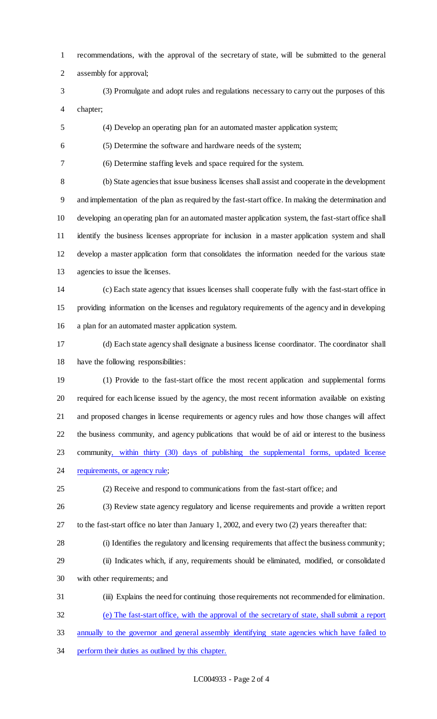recommendations, with the approval of the secretary of state, will be submitted to the general assembly for approval;

- (3) Promulgate and adopt rules and regulations necessary to carry out the purposes of this chapter;
- (4) Develop an operating plan for an automated master application system;

(5) Determine the software and hardware needs of the system;

(6) Determine staffing levels and space required for the system.

 (b) State agencies that issue business licenses shall assist and cooperate in the development and implementation of the plan as required by the fast-start office. In making the determination and developing an operating plan for an automated master application system, the fast-start office shall identify the business licenses appropriate for inclusion in a master application system and shall develop a master application form that consolidates the information needed for the various state agencies to issue the licenses.

 (c) Each state agency that issues licenses shall cooperate fully with the fast-start office in providing information on the licenses and regulatory requirements of the agency and in developing a plan for an automated master application system.

 (d) Each state agency shall designate a business license coordinator. The coordinator shall have the following responsibilities:

 (1) Provide to the fast-start office the most recent application and supplemental forms required for each license issued by the agency, the most recent information available on existing and proposed changes in license requirements or agency rules and how those changes will affect the business community, and agency publications that would be of aid or interest to the business community, within thirty (30) days of publishing the supplemental forms, updated license 24 requirements, or agency rule;

(2) Receive and respond to communications from the fast-start office; and

- (3) Review state agency regulatory and license requirements and provide a written report
- to the fast-start office no later than January 1, 2002, and every two (2) years thereafter that:
- (i) Identifies the regulatory and licensing requirements that affect the business community;
- (ii) Indicates which, if any, requirements should be eliminated, modified, or consolidated with other requirements; and
- (iii) Explains the need for continuing those requirements not recommended for elimination.

(e) The fast-start office, with the approval of the secretary of state, shall submit a report

- annually to the governor and general assembly identifying state agencies which have failed to
- perform their duties as outlined by this chapter.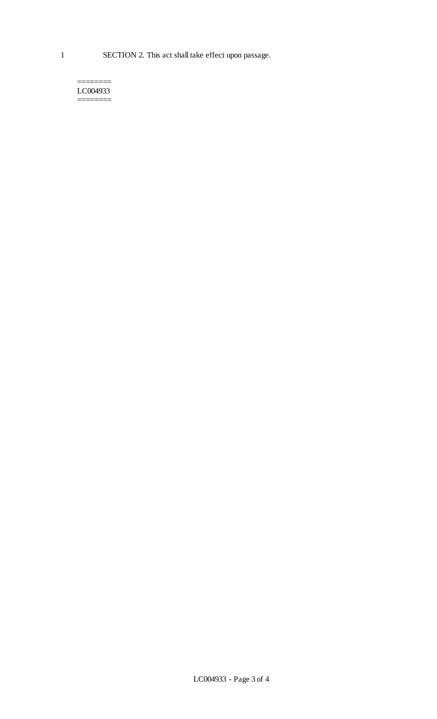======== LC004933 ========